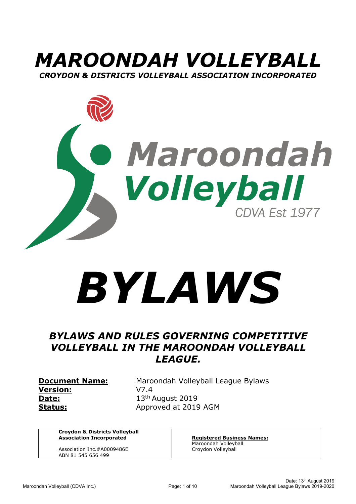



# *BYLAWS*

## *BYLAWS AND RULES GOVERNING COMPETITIVE VOLLEYBALL IN THE MAROONDAH VOLLEYBALL LEAGUE.*

**Version:** V7.4 **Date:** 13<sup>th</sup> August 2019

**Document Name:** Maroondah Volleyball League Bylaws **Status:** Approved at 2019 AGM

**Croydon & Districts Volleyball Association Incorporated**

Association Inc.#A0009486E ABN 81 545 656 499

**Registered Business Names:**  Maroondah Volleyball Croydon Volleyball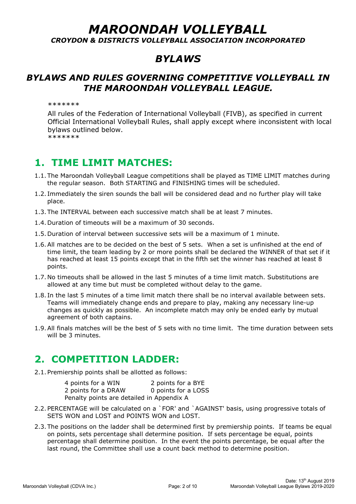# *MAROONDAH VOLLEYBALL*

*CROYDON & DISTRICTS VOLLEYBALL ASSOCIATION INCORPORATED*

## *BYLAWS*

### *BYLAWS AND RULES GOVERNING COMPETITIVE VOLLEYBALL IN THE MAROONDAH VOLLEYBALL LEAGUE.*

\*\*\*\*\*\*\*

All rules of the Federation of International Volleyball (FIVB), as specified in current Official International Volleyball Rules, shall apply except where inconsistent with local bylaws outlined below. \*\*\*\*\*\*\*

## **1. TIME LIMIT MATCHES:**

- 1.1. The Maroondah Volleyball League competitions shall be played as TIME LIMIT matches during the regular season. Both STARTING and FINISHING times will be scheduled.
- 1.2. Immediately the siren sounds the ball will be considered dead and no further play will take place.
- 1.3. The INTERVAL between each successive match shall be at least 7 minutes.
- 1.4.Duration of timeouts will be a maximum of 30 seconds.
- 1.5.Duration of interval between successive sets will be a maximum of 1 minute.
- 1.6.All matches are to be decided on the best of 5 sets. When a set is unfinished at the end of time limit, the team leading by 2 or more points shall be declared the WINNER of that set if it has reached at least 15 points except that in the fifth set the winner has reached at least 8 points.
- 1.7. No timeouts shall be allowed in the last 5 minutes of a time limit match. Substitutions are allowed at any time but must be completed without delay to the game.
- 1.8. In the last 5 minutes of a time limit match there shall be no interval available between sets. Teams will immediately change ends and prepare to play, making any necessary line-up changes as quickly as possible. An incomplete match may only be ended early by mutual agreement of both captains.
- 1.9.All finals matches will be the best of 5 sets with no time limit. The time duration between sets will be 3 minutes.

# **2. COMPETITION LADDER:**

2.1. Premiership points shall be allotted as follows:

| 4 points for a WIN                        | 2 points for a BYE  |
|-------------------------------------------|---------------------|
| 2 points for a DRAW                       | 0 points for a LOSS |
| Penalty points are detailed in Appendix A |                     |

- 2.2. PERCENTAGE will be calculated on a `FOR' and `AGAINST' basis, using progressive totals of SETS WON and LOST and POINTS WON and LOST.
- 2.3. The positions on the ladder shall be determined first by premiership points. If teams be equal on points, sets percentage shall determine position. If sets percentage be equal, points percentage shall determine position. In the event the points percentage, be equal after the last round, the Committee shall use a count back method to determine position.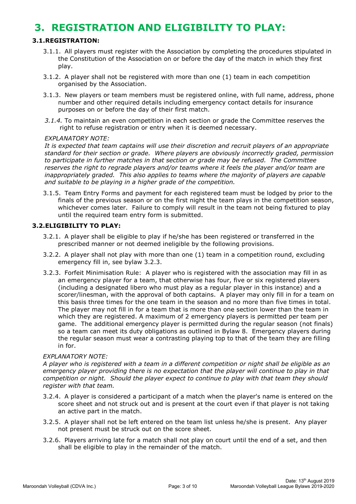## **3. REGISTRATION AND ELIGIBILITY TO PLAY:**

#### <span id="page-2-1"></span>**3.1.REGISTRATION:**

- 3.1.1. All players must register with the Association by completing the procedures stipulated in the Constitution of the Association on or before the day of the match in which they first play.
- <span id="page-2-2"></span>3.1.2. A player shall not be registered with more than one (1) team in each competition organised by the Association.
- 3.1.3. New players or team members must be registered online, with full name, address, phone number and other required details including emergency contact details for insurance purposes on or before the day of their first match.
- *3.1.4.* To maintain an even competition in each section or grade the Committee reserves the right to refuse registration or entry when it is deemed necessary.

#### *EXPLANATORY NOTE:*

*It is expected that team captains will use their discretion and recruit players of an appropriate standard for their section or grade. Where players are obviously incorrectly graded, permission to participate in further matches in that section or grade may be refused. The Committee reserves the right to regrade players and/or teams where it feels the player and/or team are inappropriately graded. This also applies to teams where the majority of players are capable and suitable to be playing in a higher grade of the competition.*

3.1.5. Team Entry Forms and payment for each registered team must be lodged by prior to the finals of the previous season or on the first night the team plays in the competition season, whichever comes later. Failure to comply will result in the team not being fixtured to play until the required team entry form is submitted.

#### **3.2.ELIGIBILITY TO PLAY:**

- 3.2.1. A player shall be eligible to play if he/she has been registered or transferred in the prescribed manner or not deemed ineligible by the following provisions.
- 3.2.2. A player shall not play with more than one (1) team in a competition round, excluding emergency fill in, see bylaw [3.2.3.](#page-2-0)
- <span id="page-2-0"></span>3.2.3. Forfeit Minimisation Rule: A player who is registered with the association may fill in as an emergency player for a team, that otherwise has four, five or six registered players (including a designated libero who must play as a regular player in this instance) and a scorer/linesman, with the approval of both captains. A player may only fill in for a team on this basis three times for the one team in the season and no more than five times in total. The player may not fill in for a team that is more than one section lower than the team in which they are registered. A maximum of 2 emergency players is permitted per team per game. The additional emergency player is permitted during the regular season (not finals) so a team can meet its duty obligations as outlined in Bylaw 8. Emergency players during the regular season must wear a contrasting playing top to that of the team they are filling in for.

#### *EXPLANATORY NOTE:*

*A player who is registered with a team in a different competition or night shall be eligible as an emergency player providing there is no expectation that the player will continue to play in that competition or night. Should the player expect to continue to play with that team they should register with that team.*

- 3.2.4. A player is considered a participant of a match when the player's name is entered on the score sheet and not struck out and is present at the court even if that player is not taking an active part in the match.
- 3.2.5. A player shall not be left entered on the team list unless he/she is present. Any player not present must be struck out on the score sheet.
- <span id="page-2-3"></span>3.2.6. Players arriving late for a match shall not play on court until the end of a set, and then shall be eligible to play in the remainder of the match.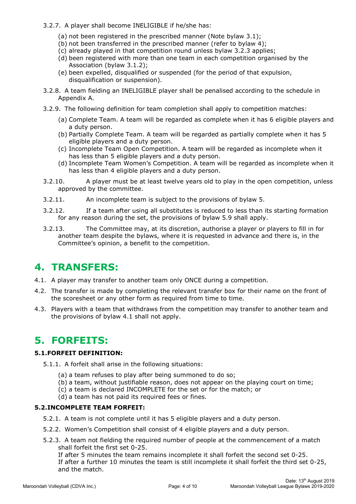- 3.2.7. A player shall become INELIGIBLE if he/she has:
	- (a) not been registered in the prescribed manner (Note bylaw [3.1\)](#page-2-1);
	- (b) not been transferred in the prescribed manner (refer to bylaw [4\)](#page-3-0);
	- (c) already played in that competition round unless bylaw [3.2.3](#page-2-0) applies;
	- (d) been registered with more than one team in each competition organised by the Association (bylaw [3.1.2\)](#page-2-2);
	- (e) been expelled, disqualified or suspended (for the period of that expulsion, disqualification or suspension).
- 3.2.8. A team fielding an INELIGIBLE player shall be penalised according to the schedule in Appendix A.
- <span id="page-3-2"></span>3.2.9. The following definition for team completion shall apply to competition matches:
	- (a) Complete Team. A team will be regarded as complete when it has 6 eligible players and a duty person.
	- (b) Partially Complete Team. A team will be regarded as partially complete when it has 5 eligible players and a duty person.
	- (c) Incomplete Team Open Competition. A team will be regarded as incomplete when it has less than 5 eligible players and a duty person.
	- (d) Incomplete Team Women's Competition. A team will be regarded as incomplete when it has less than 4 eligible players and a duty person.
- <span id="page-3-3"></span>3.2.10. A player must be at least twelve years old to play in the open competition, unless approved by the committee.
- 3.2.11. An incomplete team is subject to the provisions of bylaw [5.](#page-3-1)
- 3.2.12. If a team after using all substitutes is reduced to less than its starting formation for any reason during the set, the provisions of bylaw [5.9](#page-5-0) shall apply.
- 3.2.13. The Committee may, at its discretion, authorise a player or players to fill in for another team despite the bylaws, where it is requested in advance and there is, in the Committee's opinion, a benefit to the competition.

# <span id="page-3-0"></span>**4. TRANSFERS:**

- 4.1. A player may transfer to another team only ONCE during a competition.
- 4.2. The transfer is made by completing the relevant transfer box for their name on the front of the scoresheet or any other form as required from time to time.
- 4.3. Players with a team that withdraws from the competition may transfer to another team and the provisions of bylaw 4.1 shall not apply.

# <span id="page-3-1"></span>**5. FORFEITS:**

#### **5.1.FORFEIT DEFINITION:**

- 5.1.1. A forfeit shall arise in the following situations:
	- (a) a team refuses to play after being summoned to do so;
	- (b) a team, without justifiable reason, does not appear on the playing court on time;
	- (c) a team is declared INCOMPLETE for the set or for the match; or
	- (d) a team has not paid its required fees or fines.

#### **5.2.INCOMPLETE TEAM FORFEIT:**

- 5.2.1. A team is not complete until it has 5 eligible players and a duty person.
- 5.2.2. Women's Competition shall consist of 4 eligible players and a duty person.
- 5.2.3. A team not fielding the required number of people at the commencement of a match shall forfeit the first set 0-25.

If after 5 minutes the team remains incomplete it shall forfeit the second set 0-25. If after a further 10 minutes the team is still incomplete it shall forfeit the third set 0-25, and the match.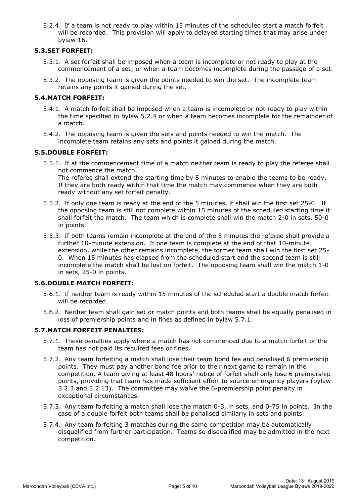<span id="page-4-0"></span>5.2.4. If a team is not ready to play within 15 minutes of the scheduled start a match forfeit will be recorded. This provision will apply to delayed starting times that may arise under bylaw [16.](#page-8-0)

#### <span id="page-4-2"></span>**5.3.SET FORFEIT:**

- 5.3.1. A set forfeit shall be imposed when a team is incomplete or not ready to play at the commencement of a set; or when a team becomes incomplete during the passage of a set.
- 5.3.2. The opposing team is given the points needed to win the set. The incomplete team retains any points it gained during the set.

#### <span id="page-4-3"></span>**5.4.MATCH FORFEIT:**

- 5.4.1. A match forfeit shall be imposed when a team is incomplete or not ready to play within the time specified in bylaw [5.2.4](#page-4-0) or when a team becomes incomplete for the remainder of a match.
- 5.4.2. The opposing team is given the sets and points needed to win the match. The incomplete team retains any sets and points it gained during the match.

#### **5.5.DOUBLE FORFEIT:**

5.5.1. If at the commencement time of a match neither team is ready to play the referee shall not commence the match. The referee shall extend the starting time by 5 minutes to enable the teams to be ready. If they are both ready within that time the match may commence when they are both

ready without any set forfeit penalty.

- 5.5.2. If only one team is ready at the end of the 5 minutes, it shall win the first set 25-0. If the opposing team is still not complete within 15 minutes of the scheduled starting time it shall forfeit the match. The team which is complete shall win the match 2-0 in sets, 50-0 in points.
- 5.5.3. If both teams remain incomplete at the end of the 5 minutes the referee shall provide a further 10-minute extension. If one team is complete at the end of that 10-minute extension, while the other remains incomplete, the former team shall win the first set 25- 0. When 15 minutes has elapsed from the scheduled start and the second team is still incomplete the match shall be lost on forfeit. The opposing team shall win the match 1-0 in sets, 25-0 in points.

#### **5.6.DOUBLE MATCH FORFEIT:**

- 5.6.1. If neither team is ready within 15 minutes of the scheduled start a double match forfeit will be recorded.
- 5.6.2. Neither team shall gain set or match points and both teams shall be equally penalised in loss of premiership points and in fines as defined in bylaw [5.7.1.](#page-4-1)

#### <span id="page-4-1"></span>**5.7.MATCH FORFEIT PENALTIES:**

- 5.7.1. These penalties apply where a match has not commenced due to a match forfeit or the team has not paid its required fees or fines.
- 5.7.2. Any team forfeiting a match shall lose their team bond fee and penalised 6 premiership points. They must pay another bond fee prior to their next game to remain in the competition. A team giving at least 48 hours' notice of forfeit shall only lose 6 premiership points, providing that team has made sufficient effort to source emergency players (bylaw 3.2.3 and 3.2.13). The committee may waive the 6-premiership point penalty in exceptional circumstances.
- 5.7.3. Any team forfeiting a match shall lose the match 0-3, in sets, and 0-75 in points. In the case of a double forfeit both teams shall be penalised similarly in sets and points.
- 5.7.4. Any team forfeiting 3 matches during the same competition may be automatically disqualified from further participation. Teams so disqualified may be admitted in the next competition.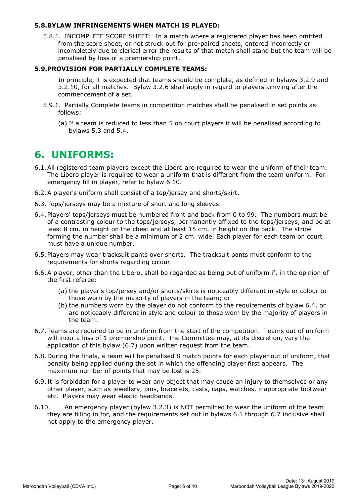#### **5.8.BYLAW INFRINGEMENTS WHEN MATCH IS PLAYED:**

5.8.1. INCOMPLETE SCORE SHEET: In a match where a registered player has been omitted from the score sheet, or not struck out for pre-paired sheets, entered incorrectly or incompletely due to clerical error the results of that match shall stand but the team will be penalised by loss of a premiership point.

#### <span id="page-5-0"></span>**5.9.PROVISION FOR PARTIALLY COMPLETE TEAMS:**

In principle, it is expected that teams should be complete, as defined in bylaws [3.2.9](#page-3-2) and [3.2.10,](#page-3-3) for all matches. Bylaw [3.2.6](#page-2-3) shall apply in regard to players arriving after the commencement of a set.

- 5.9.1. Partially Complete teams in competition matches shall be penalised in set points as follows:
	- (a) If a team is reduced to less than 5 on court players it will be penalised according to bylaws [5.3](#page-4-2) and [5.4.](#page-4-3)

## **6. UNIFORMS:**

- <span id="page-5-3"></span>6.1.All registered team players except the Libero are required to wear the uniform of their team. The Libero player is required to wear a uniform that is different from the team uniform. For emergency fill in player, refer to bylaw 6.10.
- 6.2.A player's uniform shall consist of a top/jersey and shorts/skirt.
- 6.3. Tops/jerseys may be a mixture of short and long sleeves.
- <span id="page-5-1"></span>6.4. Players' tops/jerseys must be numbered front and back from 0 to 99. The numbers must be of a contrasting colour to the tops/jerseys, permanently affixed to the tops/jerseys, and be at least 8 cm. in height on the chest and at least 15 cm. in height on the back. The stripe forming the number shall be a minimum of 2 cm. wide. Each player for each team on court must have a unique number.
- 6.5. Players may wear tracksuit pants over shorts. The tracksuit pants must conform to the requirements for shorts regarding colour.
- 6.6.A player, other than the Libero, shall be regarded as being out of uniform if, in the opinion of the first referee:
	- (a) the player's top/jersey and/or shorts/skirts is noticeably different in style or colour to those worn by the majority of players in the team; or
	- (b) the numbers worn by the player do not conform to the requirements of bylaw [6.4,](#page-5-1) or are noticeably different in style and colour to those worn by the majority of players in the team.
- <span id="page-5-2"></span>6.7. Teams are required to be in uniform from the start of the competition. Teams out of uniform will incur a loss of 1 premiership point. The Committee may, at its discretion, vary the application of this bylaw [\(6.7\)](#page-5-2) upon written request from the team.
- 6.8. During the finals, a team will be penalised 8 match points for each player out of uniform, that penalty being applied during the set in which the offending player first appears. The maximum number of points that may be lost is 25.
- 6.9. It is forbidden for a player to wear any object that may cause an injury to themselves or any other player, such as jewellery, pins, bracelets, casts, caps, watches, inappropriate footwear etc. Players may wear elastic headbands.
- 6.10. An emergency player (bylaw [3.2.3\)](#page-2-0) is NOT permitted to wear the uniform of the team they are filling in for, and the requirements set out in bylaws [6.1](#page-5-3) through 6.7 inclusive shall not apply to the emergency player.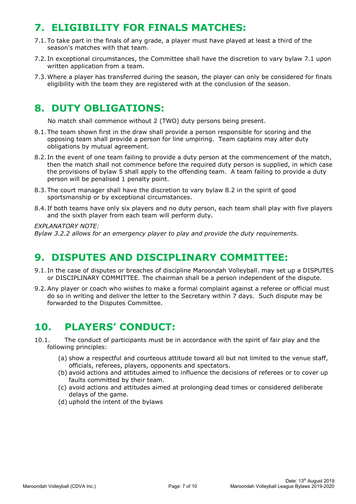# **7. ELIGIBILITY FOR FINALS MATCHES:**

- <span id="page-6-0"></span>7.1. To take part in the finals of any grade, a player must have played at least a third of the season's matches with that team.
- 7.2. In exceptional circumstances, the Committee shall have the discretion to vary bylaw [7.1](#page-6-0) upon written application from a team.
- 7.3.Where a player has transferred during the season, the player can only be considered for finals eligibility with the team they are registered with at the conclusion of the season.

# **8. DUTY OBLIGATIONS:**

No match shall commence without 2 (TWO) duty persons being present.

- 8.1. The team shown first in the draw shall provide a person responsible for scoring and the opposing team shall provide a person for line umpiring. Team captains may alter duty obligations by mutual agreement.
- <span id="page-6-1"></span>8.2. In the event of one team failing to provide a duty person at the commencement of the match, then the match shall not commence before the required duty person is supplied, in which case the provisions of bylaw [5](#page-3-1) shall apply to the offending team. A team failing to provide a duty person will be penalised 1 penalty point.
- 8.3. The court manager shall have the discretion to vary bylaw [8.2](#page-6-1) in the spirit of good sportsmanship or by exceptional circumstances.
- 8.4. If both teams have only six players and no duty person, each team shall play with five players and the sixth player from each team will perform duty.

#### *EXPLANATORY NOTE:*

*Bylaw 3.2.2 allows for an emergency player to play and provide the duty requirements.*

## **9. DISPUTES AND DISCIPLINARY COMMITTEE:**

- 9.1. In the case of disputes or breaches of discipline Maroondah Volleyball. may set up a DISPUTES or DISCIPLINARY COMMITTEE. The chairman shall be a person independent of the dispute.
- 9.2.Any player or coach who wishes to make a formal complaint against a referee or official must do so in writing and deliver the letter to the Secretary within 7 days. Such dispute may be forwarded to the Disputes Committee.

# **10. PLAYERS' CONDUCT:**

- 10.1. The conduct of participants must be in accordance with the spirit of fair play and the following principles:
	- (a) show a respectful and courteous attitude toward all but not limited to the venue staff, officials, referees, players, opponents and spectators.
	- (b) avoid actions and attitudes aimed to influence the decisions of referees or to cover up faults committed by their team.
	- (c) avoid actions and attitudes aimed at prolonging dead times or considered deliberate delays of the game.
	- (d) uphold the intent of the bylaws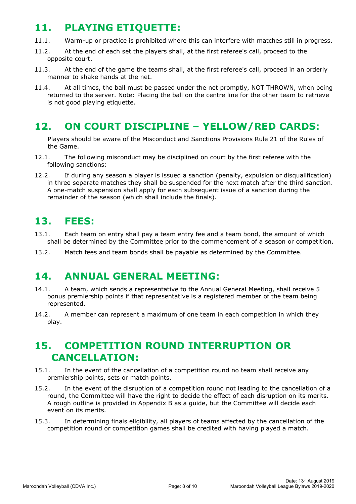## **11. PLAYING ETIQUETTE:**

- 11.1. Warm-up or practice is prohibited where this can interfere with matches still in progress.
- 11.2. At the end of each set the players shall, at the first referee's call, proceed to the opposite court.
- 11.3. At the end of the game the teams shall, at the first referee's call, proceed in an orderly manner to shake hands at the net.
- 11.4. At all times, the ball must be passed under the net promptly, NOT THROWN, when being returned to the server. Note: Placing the ball on the centre line for the other team to retrieve is not good playing etiquette.

# **12. ON COURT DISCIPLINE – YELLOW/RED CARDS:**

Players should be aware of the Misconduct and Sanctions Provisions Rule 21 of the Rules of the Game.

- 12.1. The following misconduct may be disciplined on court by the first referee with the following sanctions:
- 12.2. If during any season a player is issued a sanction (penalty, expulsion or disqualification) in three separate matches they shall be suspended for the next match after the third sanction. A one-match suspension shall apply for each subsequent issue of a sanction during the remainder of the season (which shall include the finals).

# **13. FEES:**

- 13.1. Each team on entry shall pay a team entry fee and a team bond, the amount of which shall be determined by the Committee prior to the commencement of a season or competition.
- 13.2. Match fees and team bonds shall be payable as determined by the Committee.

# **14. ANNUAL GENERAL MEETING:**

- 14.1. A team, which sends a representative to the Annual General Meeting, shall receive 5 bonus premiership points if that representative is a registered member of the team being represented.
- 14.2. A member can represent a maximum of one team in each competition in which they play.

## **15. COMPETITION ROUND INTERRUPTION OR CANCELLATION:**

- 15.1. In the event of the cancellation of a competition round no team shall receive any premiership points, sets or match points.
- 15.2. In the event of the disruption of a competition round not leading to the cancellation of a round, the Committee will have the right to decide the effect of each disruption on its merits. A rough outline is provided in Appendix B as a guide, but the Committee will decide each event on its merits.
- 15.3. In determining finals eligibility, all players of teams affected by the cancellation of the competition round or competition games shall be credited with having played a match.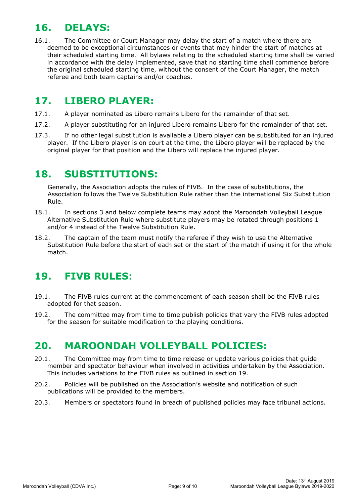## <span id="page-8-0"></span>**16. DELAYS:**

16.1. The Committee or Court Manager may delay the start of a match where there are deemed to be exceptional circumstances or events that may hinder the start of matches at their scheduled starting time. All bylaws relating to the scheduled starting time shall be varied in accordance with the delay implemented, save that no starting time shall commence before the original scheduled starting time, without the consent of the Court Manager, the match referee and both team captains and/or coaches.

## **17. LIBERO PLAYER:**

- 17.1. A player nominated as Libero remains Libero for the remainder of that set.
- 17.2. A player substituting for an injured Libero remains Libero for the remainder of that set.
- 17.3. If no other legal substitution is available a Libero player can be substituted for an injured player. If the Libero player is on court at the time, the Libero player will be replaced by the original player for that position and the Libero will replace the injured player.

## **18. SUBSTITUTIONS:**

Generally, the Association adopts the rules of FIVB. In the case of substitutions, the Association follows the Twelve Substitution Rule rather than the international Six Substitution Rule.

- 18.1. In sections 3 and below complete teams may adopt the Maroondah Volleyball League Alternative Substitution Rule where substitute players may be rotated through positions 1 and/or 4 instead of the Twelve Substitution Rule.
- 18.2. The captain of the team must notify the referee if they wish to use the Alternative Substitution Rule before the start of each set or the start of the match if using it for the whole match.

# **19. FIVB RULES:**

- 19.1. The FIVB rules current at the commencement of each season shall be the FIVB rules adopted for that season.
- 19.2. The committee may from time to time publish policies that vary the FIVB rules adopted for the season for suitable modification to the playing conditions.

# **20. MAROONDAH VOLLEYBALL POLICIES:**

- 20.1. The Committee may from time to time release or update various policies that guide member and spectator behaviour when involved in activities undertaken by the Association. This includes variations to the FIVB rules as outlined in section 19.
- 20.2. Policies will be published on the Association's website and notification of such publications will be provided to the members.
- 20.3. Members or spectators found in breach of published policies may face tribunal actions.